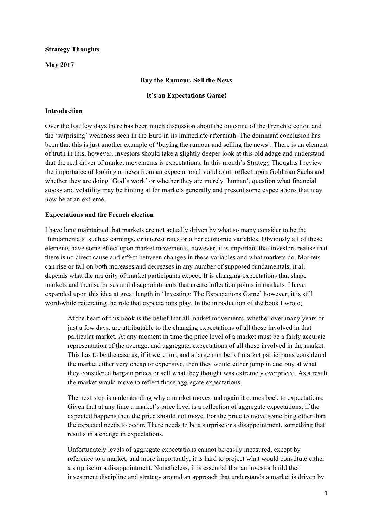#### **Strategy Thoughts**

**May 2017**

#### **Buy the Rumour, Sell the News**

#### **It's an Expectations Game!**

#### **Introduction**

Over the last few days there has been much discussion about the outcome of the French election and the 'surprising' weakness seen in the Euro in its immediate aftermath. The dominant conclusion has been that this is just another example of 'buying the rumour and selling the news'. There is an element of truth in this, however, investors should take a slightly deeper look at this old adage and understand that the real driver of market movements is expectations. In this month's Strategy Thoughts I review the importance of looking at news from an expectational standpoint, reflect upon Goldman Sachs and whether they are doing 'God's work' or whether they are merely 'human', question what financial stocks and volatility may be hinting at for markets generally and present some expectations that may now be at an extreme.

## **Expectations and the French election**

I have long maintained that markets are not actually driven by what so many consider to be the 'fundamentals' such as earnings, or interest rates or other economic variables. Obviously all of these elements have some effect upon market movements, however, it is important that investors realise that there is no direct cause and effect between changes in these variables and what markets do. Markets can rise or fall on both increases and decreases in any number of supposed fundamentals, it all depends what the majority of market participants expect. It is changing expectations that shape markets and then surprises and disappointments that create inflection points in markets. I have expanded upon this idea at great length in 'Investing: The Expectations Game' however, it is still worthwhile reiterating the role that expectations play. In the introduction of the book I wrote;

At the heart of this book is the belief that all market movements, whether over many years or just a few days, are attributable to the changing expectations of all those involved in that particular market. At any moment in time the price level of a market must be a fairly accurate representation of the average, and aggregate, expectations of all those involved in the market. This has to be the case as, if it were not, and a large number of market participants considered the market either very cheap or expensive, then they would either jump in and buy at what they considered bargain prices or sell what they thought was extremely overpriced. As a result the market would move to reflect those aggregate expectations.

The next step is understanding why a market moves and again it comes back to expectations. Given that at any time a market's price level is a reflection of aggregate expectations, if the expected happens then the price should not move. For the price to move something other than the expected needs to occur. There needs to be a surprise or a disappointment, something that results in a change in expectations.

Unfortunately levels of aggregate expectations cannot be easily measured, except by reference to a market, and more importantly, it is hard to project what would constitute either a surprise or a disappointment. Nonetheless, it is essential that an investor build their investment discipline and strategy around an approach that understands a market is driven by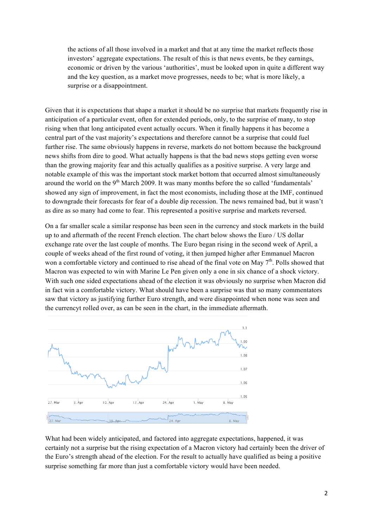the actions of all those involved in a market and that at any time the market reflects those investors' aggregate expectations. The result of this is that news events, be they earnings, economic or driven by the various 'authorities', must be looked upon in quite a different way and the key question, as a market move progresses, needs to be; what is more likely, a surprise or a disappointment.

Given that it is expectations that shape a market it should be no surprise that markets frequently rise in anticipation of a particular event, often for extended periods, only, to the surprise of many, to stop rising when that long anticipated event actually occurs. When it finally happens it has become a central part of the vast majority's expectations and therefore cannot be a surprise that could fuel further rise. The same obviously happens in reverse, markets do not bottom because the background news shifts from dire to good. What actually happens is that the bad news stops getting even worse than the growing majority fear and this actually qualifies as a positive surprise. A very large and notable example of this was the important stock market bottom that occurred almost simultaneously around the world on the 9<sup>th</sup> March 2009. It was many months before the so called 'fundamentals' showed any sign of improvement, in fact the most economists, including those at the IMF, continued to downgrade their forecasts for fear of a double dip recession. The news remained bad, but it wasn't as dire as so many had come to fear. This represented a positive surprise and markets reversed.

On a far smaller scale a similar response has been seen in the currency and stock markets in the build up to and aftermath of the recent French election. The chart below shows the Euro / US dollar exchange rate over the last couple of months. The Euro began rising in the second week of April, a couple of weeks ahead of the first round of voting, it then jumped higher after Emmanuel Macron won a comfortable victory and continued to rise ahead of the final vote on May  $7<sup>th</sup>$ . Polls showed that Macron was expected to win with Marine Le Pen given only a one in six chance of a shock victory. With such one sided expectations ahead of the election it was obviously no surprise when Macron did in fact win a comfortable victory. What should have been a surprise was that so many commentators saw that victory as justifying further Euro strength, and were disappointed when none was seen and the currencyt rolled over, as can be seen in the chart, in the immediate aftermath.



What had been widely anticipated, and factored into aggregate expectations, happened, it was certainly not a surprise but the rising expectation of a Macron victory had certainly been the driver of the Euro's strength ahead of the election. For the result to actually have qualified as being a positive surprise something far more than just a comfortable victory would have been needed.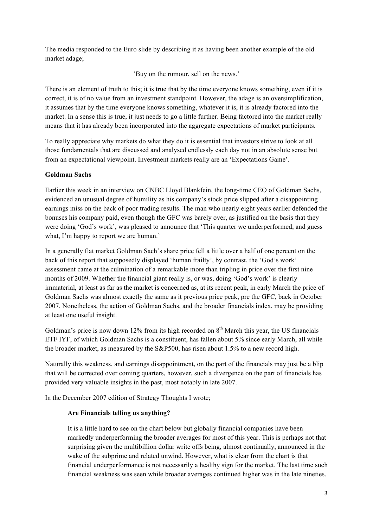The media responded to the Euro slide by describing it as having been another example of the old market adage;

'Buy on the rumour, sell on the news.'

There is an element of truth to this; it is true that by the time everyone knows something, even if it is correct, it is of no value from an investment standpoint. However, the adage is an oversimplification, it assumes that by the time everyone knows something, whatever it is, it is already factored into the market. In a sense this is true, it just needs to go a little further. Being factored into the market really means that it has already been incorporated into the aggregate expectations of market participants.

To really appreciate why markets do what they do it is essential that investors strive to look at all those fundamentals that are discussed and analysed endlessly each day not in an absolute sense but from an expectational viewpoint. Investment markets really are an 'Expectations Game'.

# **Goldman Sachs**

Earlier this week in an interview on CNBC Lloyd Blankfein, the long-time CEO of Goldman Sachs, evidenced an unusual degree of humility as his company's stock price slipped after a disappointing earnings miss on the back of poor trading results. The man who nearly eight years earlier defended the bonuses his company paid, even though the GFC was barely over, as justified on the basis that they were doing 'God's work', was pleased to announce that 'This quarter we underperformed, and guess what, I'm happy to report we are human.'

In a generally flat market Goldman Sach's share price fell a little over a half of one percent on the back of this report that supposedly displayed 'human frailty', by contrast, the 'God's work' assessment came at the culmination of a remarkable more than tripling in price over the first nine months of 2009. Whether the financial giant really is, or was, doing 'God's work' is clearly immaterial, at least as far as the market is concerned as, at its recent peak, in early March the price of Goldman Sachs was almost exactly the same as it previous price peak, pre the GFC, back in October 2007. Nonetheless, the action of Goldman Sachs, and the broader financials index, may be providing at least one useful insight.

Goldman's price is now down 12% from its high recorded on  $8<sup>th</sup>$  March this year, the US financials ETF IYF, of which Goldman Sachs is a constituent, has fallen about 5% since early March, all while the broader market, as measured by the S&P500, has risen about 1.5% to a new record high.

Naturally this weakness, and earnings disappointment, on the part of the financials may just be a blip that will be corrected over coming quarters, however, such a divergence on the part of financials has provided very valuable insights in the past, most notably in late 2007.

In the December 2007 edition of Strategy Thoughts I wrote;

# **Are Financials telling us anything?**

It is a little hard to see on the chart below but globally financial companies have been markedly underperforming the broader averages for most of this year. This is perhaps not that surprising given the multibillion dollar write offs being, almost continually, announced in the wake of the subprime and related unwind. However, what is clear from the chart is that financial underperformance is not necessarily a healthy sign for the market. The last time such financial weakness was seen while broader averages continued higher was in the late nineties.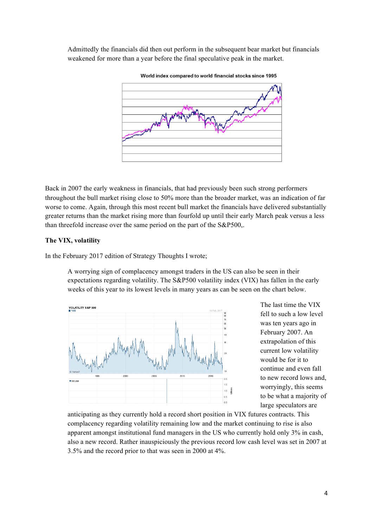Admittedly the financials did then out perform in the subsequent bear market but financials weakened for more than a year before the final speculative peak in the market.



Back in 2007 the early weakness in financials, that had previously been such strong performers throughout the bull market rising close to 50% more than the broader market, was an indication of far worse to come. Again, through this most recent bull market the financials have delivered substantially greater returns than the market rising more than fourfold up until their early March peak versus a less than threefold increase over the same period on the part of the S&P500,.

#### **The VIX, volatility**

In the February 2017 edition of Strategy Thoughts I wrote;

A worrying sign of complacency amongst traders in the US can also be seen in their expectations regarding volatility. The S&P500 volatility index (VIX) has fallen in the early weeks of this year to its lowest levels in many years as can be seen on the chart below.



The last time the VIX fell to such a low level was ten years ago in February 2007. An extrapolation of this current low volatility would be for it to continue and even fall to new record lows and, worryingly, this seems to be what a majority of large speculators are

anticipating as they currently hold a record short position in VIX futures contracts. This complacency regarding volatility remaining low and the market continuing to rise is also apparent amongst institutional fund managers in the US who currently hold only 3% in cash, also a new record. Rather inauspiciously the previous record low cash level was set in 2007 at 3.5% and the record prior to that was seen in 2000 at 4%.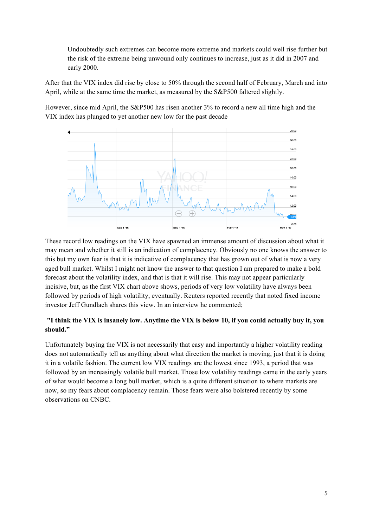Undoubtedly such extremes can become more extreme and markets could well rise further but the risk of the extreme being unwound only continues to increase, just as it did in 2007 and early 2000.

After that the VIX index did rise by close to 50% through the second half of February, March and into April, while at the same time the market, as measured by the S&P500 faltered slightly.

However, since mid April, the S&P500 has risen another 3% to record a new all time high and the VIX index has plunged to yet another new low for the past decade



These record low readings on the VIX have spawned an immense amount of discussion about what it may mean and whether it still is an indication of complacency. Obviously no one knows the answer to this but my own fear is that it is indicative of complacency that has grown out of what is now a very aged bull market. Whilst I might not know the answer to that question I am prepared to make a bold forecast about the volatility index, and that is that it will rise. This may not appear particularly incisive, but, as the first VIX chart above shows, periods of very low volatility have always been followed by periods of high volatility, eventually. Reuters reported recently that noted fixed income investor Jeff Gundlach shares this view. In an interview he commented;

# **"I think the VIX is insanely low. Anytime the VIX is below 10, if you could actually buy it, you should."**

Unfortunately buying the VIX is not necessarily that easy and importantly a higher volatility reading does not automatically tell us anything about what direction the market is moving, just that it is doing it in a volatile fashion. The current low VIX readings are the lowest since 1993, a period that was followed by an increasingly volatile bull market. Those low volatility readings came in the early years of what would become a long bull market, which is a quite different situation to where markets are now, so my fears about complacency remain. Those fears were also bolstered recently by some observations on CNBC.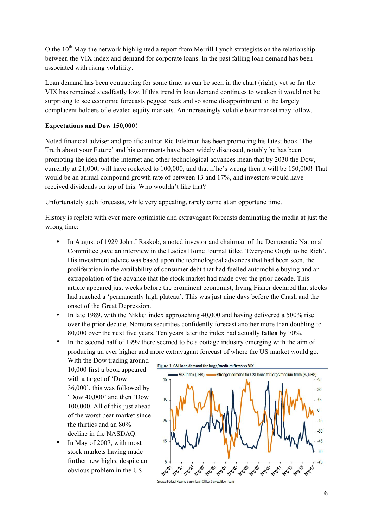O the 10<sup>th</sup> May the network highlighted a report from Merrill Lynch strategists on the relationship between the VIX index and demand for corporate loans. In the past falling loan demand has been associated with rising volatility.

Loan demand has been contracting for some time, as can be seen in the chart (right), yet so far the VIX has remained steadfastly low. If this trend in loan demand continues to weaken it would not be surprising to see economic forecasts pegged back and so some disappointment to the largely complacent holders of elevated equity markets. An increasingly volatile bear market may follow.

## **Expectations and Dow 150,000!**

Noted financial adviser and prolific author Ric Edelman has been promoting his latest book 'The Truth about your Future' and his comments have been widely discussed, notably he has been promoting the idea that the internet and other technological advances mean that by 2030 the Dow, currently at 21,000, will have rocketed to 100,000, and that if he's wrong then it will be 150,000! That would be an annual compound growth rate of between 13 and 17%, and investors would have received dividends on top of this. Who wouldn't like that?

Unfortunately such forecasts, while very appealing, rarely come at an opportune time.

History is replete with ever more optimistic and extravagant forecasts dominating the media at just the wrong time:

- In August of 1929 John J Raskob, a noted investor and chairman of the Democratic National Committee gave an interview in the Ladies Home Journal titled 'Everyone Ought to be Rich'. His investment advice was based upon the technological advances that had been seen, the proliferation in the availability of consumer debt that had fuelled automobile buying and an extrapolation of the advance that the stock market had made over the prior decade. This article appeared just weeks before the prominent economist, Irving Fisher declared that stocks had reached a 'permanently high plateau'. This was just nine days before the Crash and the onset of the Great Depression.
- In late 1989, with the Nikkei index approaching 40,000 and having delivered a 500% rise over the prior decade, Nomura securities confidently forecast another more than doubling to 80,000 over the next five years. Ten years later the index had actually **fallen** by 70%.
- In the second half of 1999 there seemed to be a cottage industry emerging with the aim of producing an ever higher and more extravagant forecast of where the US market would go.

With the Dow trading around 10,000 first a book appeared with a target of 'Dow 36,000', this was followed by 'Dow 40,000' and then 'Dow 100,000. All of this just ahead of the worst bear market since the thirties and an 80% decline in the NASDAQ.

In May of 2007, with most stock markets having made further new highs, despite an obvious problem in the US

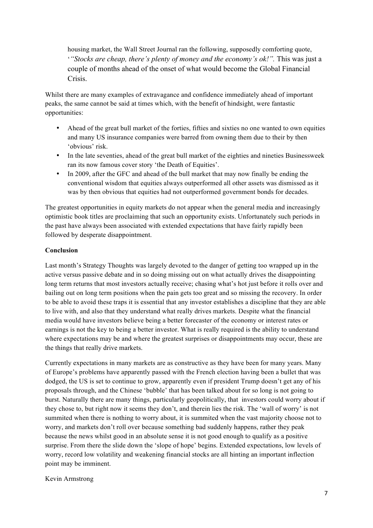housing market, the Wall Street Journal ran the following, supposedly comforting quote, '*"Stocks are cheap, there's plenty of money and the economy's ok!".* This was just a couple of months ahead of the onset of what would become the Global Financial Crisis.

Whilst there are many examples of extravagance and confidence immediately ahead of important peaks, the same cannot be said at times which, with the benefit of hindsight, were fantastic opportunities:

- Ahead of the great bull market of the forties, fifties and sixties no one wanted to own equities and many US insurance companies were barred from owning them due to their by then 'obvious' risk.
- In the late seventies, ahead of the great bull market of the eighties and nineties Businessweek ran its now famous cover story 'the Death of Equities'.
- In 2009, after the GFC and ahead of the bull market that may now finally be ending the conventional wisdom that equities always outperformed all other assets was dismissed as it was by then obvious that equities had not outperformed government bonds for decades.

The greatest opportunities in equity markets do not appear when the general media and increasingly optimistic book titles are proclaiming that such an opportunity exists. Unfortunately such periods in the past have always been associated with extended expectations that have fairly rapidly been followed by desperate disappointment.

## **Conclusion**

Last month's Strategy Thoughts was largely devoted to the danger of getting too wrapped up in the active versus passive debate and in so doing missing out on what actually drives the disappointing long term returns that most investors actually receive; chasing what's hot just before it rolls over and bailing out on long term positions when the pain gets too great and so missing the recovery. In order to be able to avoid these traps it is essential that any investor establishes a discipline that they are able to live with, and also that they understand what really drives markets. Despite what the financial media would have investors believe being a better forecaster of the economy or interest rates or earnings is not the key to being a better investor. What is really required is the ability to understand where expectations may be and where the greatest surprises or disappointments may occur, these are the things that really drive markets.

Currently expectations in many markets are as constructive as they have been for many years. Many of Europe's problems have apparently passed with the French election having been a bullet that was dodged, the US is set to continue to grow, apparently even if president Trump doesn't get any of his proposals through, and the Chinese 'bubble' that has been talked about for so long is not going to burst. Naturally there are many things, particularly geopolitically, that investors could worry about if they chose to, but right now it seems they don't, and therein lies the risk. The 'wall of worry' is not summited when there is nothing to worry about, it is summited when the vast majority choose not to worry, and markets don't roll over because something bad suddenly happens, rather they peak because the news whilst good in an absolute sense it is not good enough to qualify as a positive surprise. From there the slide down the 'slope of hope' begins. Extended expectations, low levels of worry, record low volatility and weakening financial stocks are all hinting an important inflection point may be imminent.

#### Kevin Armstrong